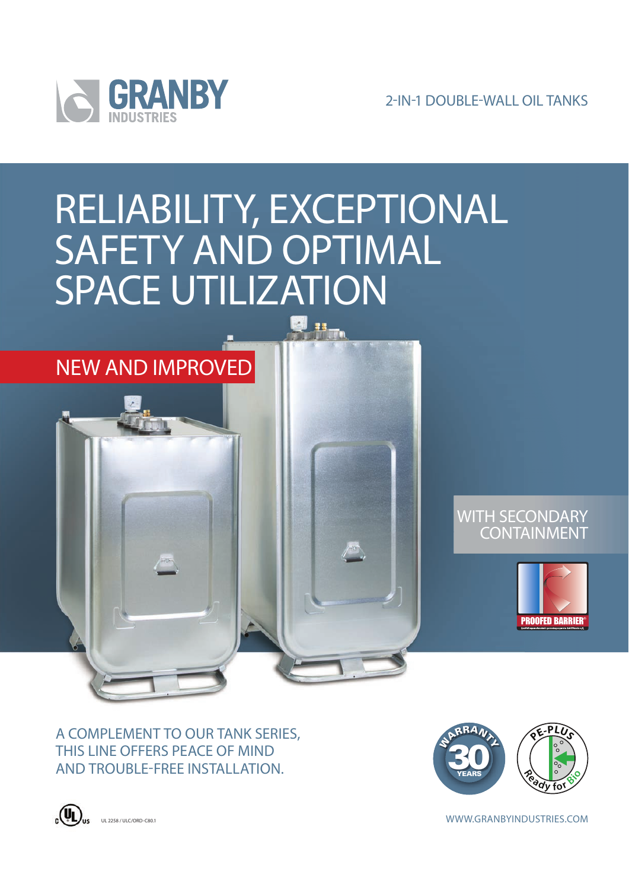

2-IN-1 DOUBLE-WALL OIL TANKS

# RELIABILITY, EXCEPTIONAL SAFETY AND OPTIMAL SPACE UTILIZATION



## WITH SECONDARY CONTAINMENT



A COMPLEMENT TO OUR TANK SERIES, THIS LINE OFFERS PEACE OF MIND AND TROUBLE-FREE INSTALLATION.



UL2758/ULC/ORD-C80.1 ULC/ORD-C80.1 ULC/ORD-C80.1 ULC/ORD-C80.1 ULC/ORD-C80.1 ULC/ORD-C80.1 ULC/ORD-C80.1 ULC/ORD-C80.1 ULC/ORD-C80.1 ULC/ORD-C80.1 ULC/ORD-C80.1 ULC/ORD-C80.1 ULC/ORD-C80.1 ULC/ORD-C80.1 ULC/ORD-C80.1 ULC/O